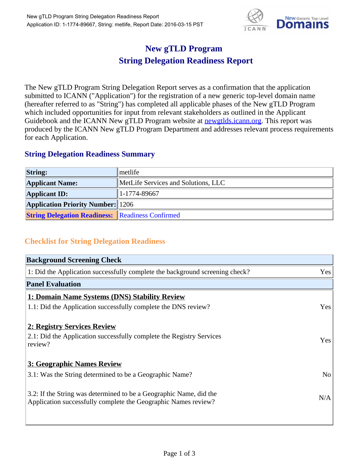

## **New gTLD Program String Delegation Readiness Report**

The New gTLD Program String Delegation Report serves as a confirmation that the application submitted to ICANN ("Application") for the registration of a new generic top-level domain name (hereafter referred to as "String") has completed all applicable phases of the New gTLD Program which included opportunities for input from relevant stakeholders as outlined in the Applicant Guidebook and the ICANN New gTLD Program website at **newgtlds.icann.org**. This report was produced by the ICANN New gTLD Program Department and addresses relevant process requirements for each Application.

## **String Delegation Readiness Summary**

| <b>String:</b>                                          | metlife                             |
|---------------------------------------------------------|-------------------------------------|
| <b>Applicant Name:</b>                                  | MetLife Services and Solutions, LLC |
| <b>Applicant ID:</b>                                    | 1-1774-89667                        |
| <b>Application Priority Number:</b> 1206                |                                     |
| <b>String Delegation Readiness:</b> Readiness Confirmed |                                     |

## **Checklist for String Delegation Readiness**

| <b>Background Screening Check</b>                                               |                |
|---------------------------------------------------------------------------------|----------------|
| 1: Did the Application successfully complete the background screening check?    | Yes            |
| <b>Panel Evaluation</b>                                                         |                |
| 1: Domain Name Systems (DNS) Stability Review                                   |                |
| 1.1: Did the Application successfully complete the DNS review?                  | Yes            |
| 2: Registry Services Review                                                     |                |
|                                                                                 |                |
| 2.1: Did the Application successfully complete the Registry Services<br>review? | <b>Yes</b>     |
|                                                                                 |                |
| 3: Geographic Names Review                                                      |                |
| 3.1: Was the String determined to be a Geographic Name?                         | N <sub>0</sub> |
| 3.2: If the String was determined to be a Geographic Name, did the              |                |
| Application successfully complete the Geographic Names review?                  | N/A            |
|                                                                                 |                |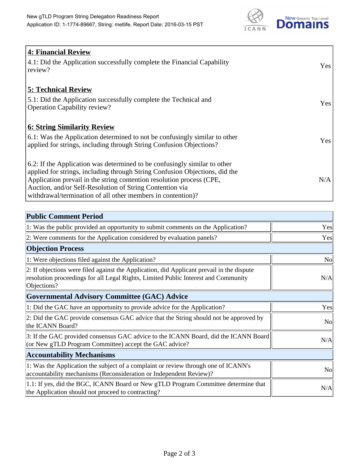

| 4: Financial Review                                                                |            |
|------------------------------------------------------------------------------------|------------|
| $\vert$ 4.1: Did the Application successfully complete the Financial Capability    | Yes        |
| review?                                                                            |            |
| <b>5: Technical Review</b>                                                         |            |
| 5.1: Did the Application successfully complete the Technical and                   | <b>Yes</b> |
| <b>Operation Capability review?</b>                                                |            |
|                                                                                    |            |
| <b>6: String Similarity Review</b>                                                 |            |
| $\vert$ 6.1: Was the Application determined to not be confusingly similar to other | Yes        |
| applied for strings, including through String Confusion Objections?                |            |
| 6.2: If the Application was determined to be confusingly similar to other          |            |
| applied for strings, including through String Confusion Objections, did the        |            |
| Application prevail in the string contention resolution process (CPE,              | N/A        |
| Auction, and/or Self-Resolution of String Contention via                           |            |
| withdrawal/termination of all other members in contention)?                        |            |

| <b>Public Comment Period</b>                                                                                                                                                                   |                |
|------------------------------------------------------------------------------------------------------------------------------------------------------------------------------------------------|----------------|
| 1: Was the public provided an opportunity to submit comments on the Application?                                                                                                               | Yes            |
| 2: Were comments for the Application considered by evaluation panels?                                                                                                                          | Yes            |
| <b>Objection Process</b>                                                                                                                                                                       |                |
| 1: Were objections filed against the Application?                                                                                                                                              | <b>No</b>      |
| 2: If objections were filed against the Application, did Applicant prevail in the dispute<br>resolution proceedings for all Legal Rights, Limited Public Interest and Community<br>Objections? | N/A            |
| Governmental Advisory Committee (GAC) Advice                                                                                                                                                   |                |
| 1: Did the GAC have an opportunity to provide advice for the Application?                                                                                                                      | Yes            |
| 2: Did the GAC provide consensus GAC advice that the String should not be approved by<br>the ICANN Board?                                                                                      | <b>No</b>      |
| 3: If the GAC provided consensus GAC advice to the ICANN Board, did the ICANN Board<br>(or New gTLD Program Committee) accept the GAC advice?                                                  | N/A            |
| <b>Accountability Mechanisms</b>                                                                                                                                                               |                |
| 1: Was the Application the subject of a complaint or review through one of ICANN's<br>accountability mechanisms (Reconsideration or Independent Review)?                                       | N <sub>0</sub> |
| 1.1: If yes, did the BGC, ICANN Board or New gTLD Program Committee determine that<br>the Application should not proceed to contracting?                                                       | N/A            |